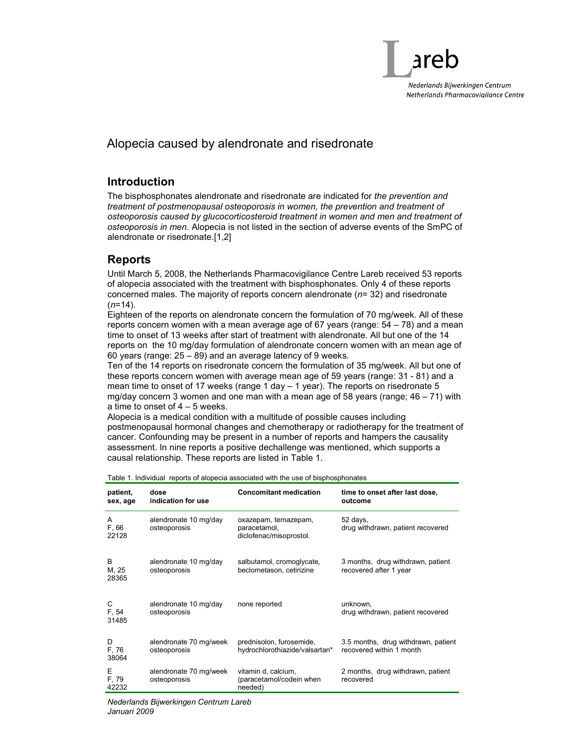

# Alopecia caused by alendronate and risedronate

#### Introduction

The bisphosphonates alendronate and risedronate are indicated for the prevention and treatment of postmenopausal osteoporosis in women, the prevention and treatment of osteoporosis caused by glucocorticosteroid treatment in women and men and treatment of osteoporosis in men. Alopecia is not listed in the section of adverse events of the SmPC of alendronate or risedronate.[1,2]

#### Reports

Until March 5, 2008, the Netherlands Pharmacovigilance Centre Lareb received 53 reports of alopecia associated with the treatment with bisphosphonates. Only 4 of these reports concerned males. The majority of reports concern alendronate  $(n= 32)$  and risedronate  $(n=14)$ .

Eighteen of the reports on alendronate concern the formulation of 70 mg/week. All of these reports concern women with a mean average age of 67 years (range:  $54 - 78$ ) and a mean time to onset of 13 weeks after start of treatment with alendronate. All but one of the 14 reports on the 10 mg/day formulation of alendronate concern women with an mean age of 60 years (range: 25 – 89) and an average latency of 9 weeks.

Ten of the 14 reports on risedronate concern the formulation of 35 mg/week. All but one of these reports concern women with average mean age of 59 years (range: 31 - 81) and a mean time to onset of 17 weeks (range 1 day – 1 year). The reports on risedronate 5 mg/day concern 3 women and one man with a mean age of 58 years (range; 46 – 71) with a time to onset of  $4 - 5$  weeks.

Alopecia is a medical condition with a multitude of possible causes including postmenopausal hormonal changes and chemotherapy or radiotherapy for the treatment of cancer. Confounding may be present in a number of reports and hampers the causality assessment. In nine reports a positive dechallenge was mentioned, which supports a causal relationship. These reports are listed in Table 1.

| patient.<br>sex, age | dose<br>indication for use             | <b>Concomitant medication</b>                                   | time to onset after last dose,<br>outcome                       |  |  |  |
|----------------------|----------------------------------------|-----------------------------------------------------------------|-----------------------------------------------------------------|--|--|--|
| A<br>F, 66<br>22128  | alendronate 10 mg/day<br>osteoporosis  | oxazepam, temazepam,<br>paracetamol,<br>diclofenac/misoprostol. | 52 days,<br>drug withdrawn, patient recovered                   |  |  |  |
| B<br>M, 25<br>28365  | alendronate 10 mg/day<br>osteoporosis  | salbutamol, cromoglycate,<br>beclometason, cetirizine           | 3 months, drug withdrawn, patient<br>recovered after 1 year     |  |  |  |
| С<br>F. 54<br>31485  | alendronate 10 mg/day<br>osteoporosis  | none reported                                                   | unknown,<br>drug withdrawn, patient recovered                   |  |  |  |
| D.<br>F, 76<br>38064 | alendronate 70 mg/week<br>osteoporosis | prednisolon, furosemide,<br>hydrochlorothiazide/valsartan*      | 3.5 months, drug withdrawn, patient<br>recovered within 1 month |  |  |  |
| Е<br>F, 79<br>42232  | alendronate 70 mg/week<br>osteoporosis | vitamin d, calcium,<br>(paracetamol/codein when<br>needed)      | 2 months, drug withdrawn, patient<br>recovered                  |  |  |  |

Table 1. Individual reports of alopecia associated with the use of bisphosphonates

Nederlands Bijwerkingen Centrum Lareb Januari 2009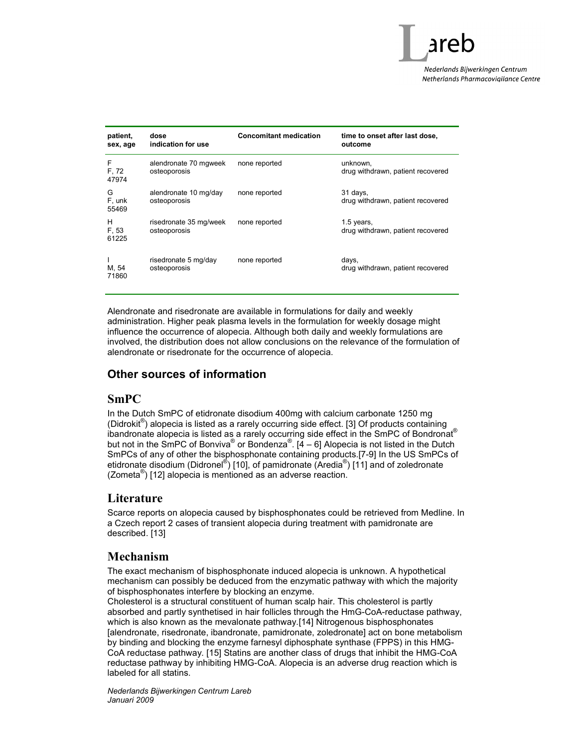

| patient.<br>sex, age | dose<br>indication for use             | <b>Concomitant medication</b> | time to onset after last dose,<br>outcome       |
|----------------------|----------------------------------------|-------------------------------|-------------------------------------------------|
| F<br>F, 72<br>47974  | alendronate 70 mgweek<br>osteoporosis  | none reported                 | unknown,<br>drug withdrawn, patient recovered   |
| G<br>F, unk<br>55469 | alendronate 10 mg/day<br>osteoporosis  | none reported                 | 31 days,<br>drug withdrawn, patient recovered   |
| н<br>F, 53<br>61225  | risedronate 35 mg/week<br>osteoporosis | none reported                 | 1.5 years,<br>drug withdrawn, patient recovered |
| M, 54<br>71860       | risedronate 5 mg/day<br>osteoporosis   | none reported                 | days,<br>drug withdrawn, patient recovered      |

Alendronate and risedronate are available in formulations for daily and weekly administration. Higher peak plasma levels in the formulation for weekly dosage might influence the occurrence of alopecia. Although both daily and weekly formulations are involved, the distribution does not allow conclusions on the relevance of the formulation of alendronate or risedronate for the occurrence of alopecia.

#### Other sources of information

#### SmPC

In the Dutch SmPC of etidronate disodium 400mg with calcium carbonate 1250 mg (Didrokit® ) alopecia is listed as a rarely occurring side effect. [3] Of products containing ibandronate alopecia is listed as a rarely occurring side effect in the SmPC of Bondronat® but not in the SmPC of Bonviva® or Bondenza®. [4 – 6] Alopecia is not listed in the Dutch SmPCs of any of other the bisphosphonate containing products.[7-9] In the US SmPCs of etidronate disodium (Didronel<sup>®</sup>) [10], of pamidronate (Aredia<sup>®</sup>) [11] and of zoledronate (Zometa® ) [12] alopecia is mentioned as an adverse reaction.

## **Literature**

Scarce reports on alopecia caused by bisphosphonates could be retrieved from Medline. In a Czech report 2 cases of transient alopecia during treatment with pamidronate are described. [13]

## Mechanism

The exact mechanism of bisphosphonate induced alopecia is unknown. A hypothetical mechanism can possibly be deduced from the enzymatic pathway with which the majority of bisphosphonates interfere by blocking an enzyme.

Cholesterol is a structural constituent of human scalp hair. This cholesterol is partly absorbed and partly synthetised in hair follicles through the HmG-CoA-reductase pathway, which is also known as the mevalonate pathway.[14] Nitrogenous bisphosphonates [alendronate, risedronate, ibandronate, pamidronate, zoledronate] act on bone metabolism by binding and blocking the enzyme farnesyl diphosphate synthase (FPPS) in this HMG-CoA reductase pathway. [15] Statins are another class of drugs that inhibit the HMG-CoA reductase pathway by inhibiting HMG-CoA. Alopecia is an adverse drug reaction which is labeled for all statins.

Nederlands Bijwerkingen Centrum Lareb Januari 2009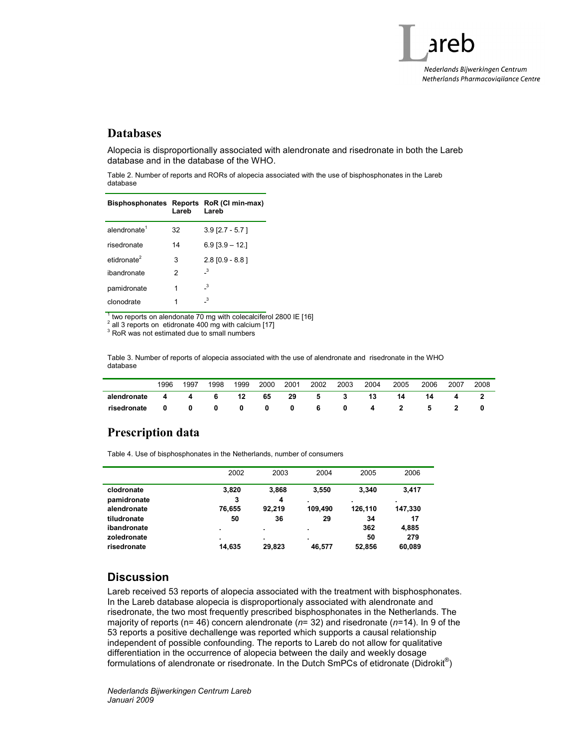

## Databases

Alopecia is disproportionally associated with alendronate and risedronate in both the Lareb database and in the database of the WHO.

Table 2. Number of reports and RORs of alopecia associated with the use of bisphosphonates in the Lareb database

|                          | Lareb | Bisphosphonates Reports RoR (CI min-max)<br>Lareb |
|--------------------------|-------|---------------------------------------------------|
| alendronate <sup>1</sup> | 32    | $3.9$ [2.7 - 5.7]                                 |
| risedronate              | 14    | $6.9$ [3.9 - 12.]                                 |
| etidronate <sup>2</sup>  | 3     | $2.8$ [0.9 - 8.8]                                 |
| ibandronate              | 2     | $\overline{\mathbf{3}}$                           |
| pamidronate              | 1     | - 3                                               |
| clonodrate               | 1     | 3                                                 |

1 two reports on alendonate 70 mg with colecalciferol 2800 IE [16]

 $2$  all 3 reports on etidronate 400 mg with calcium [17]

<sup>3</sup> RoR was not estimated due to small numbers

Table 3. Number of reports of alopecia associated with the use of alendronate and risedronate in the WHO database

|             | 1996 | 1997 | 1998 | 1999 | 2000 | 2001 | 2002 | 2003 | 2004 | 2005 | 2006 | 2007 | 2008 |
|-------------|------|------|------|------|------|------|------|------|------|------|------|------|------|
| alendronate |      |      | 6    | 12   | 65   | 29   | 5    |      | 13   | 14   | 14   |      |      |
| risedronate |      |      |      |      | 0    | 0    |      | 0    |      |      |      |      |      |

## Prescription data

Table 4. Use of bisphosphonates in the Netherlands, number of consumers

|             | 2002   | 2003   | 2004    | 2005    | 2006    |  |
|-------------|--------|--------|---------|---------|---------|--|
| clodronate  | 3,820  | 3,868  | 3.550   | 3.340   | 3,417   |  |
| pamidronate | 3      | 4      | ٠       | ٠.      |         |  |
| alendronate | 76,655 | 92.219 | 109.490 | 126,110 | 147,330 |  |
| tiludronate | 50     | 36     | 29      | 34      | 17      |  |
| ibandronate | ٠      | ٠      | ٠       | 362     | 4,885   |  |
| zoledronate | ٠.     | ٠      | ٠       | 50      | 279     |  |
| risedronate | 14,635 | 29,823 | 46.577  | 52.856  | 60,089  |  |

## **Discussion**

Lareb received 53 reports of alopecia associated with the treatment with bisphosphonates. In the Lareb database alopecia is disproportionaly associated with alendronate and risedronate, the two most frequently prescribed bisphosphonates in the Netherlands. The majority of reports (n= 46) concern alendronate ( $n=$  32) and risedronate ( $n=$  14). In 9 of the 53 reports a positive dechallenge was reported which supports a causal relationship independent of possible confounding. The reports to Lareb do not allow for qualitative differentiation in the occurrence of alopecia between the daily and weekly dosage formulations of alendronate or risedronate. In the Dutch SmPCs of etidronate (Didrokit<sup>®</sup>)